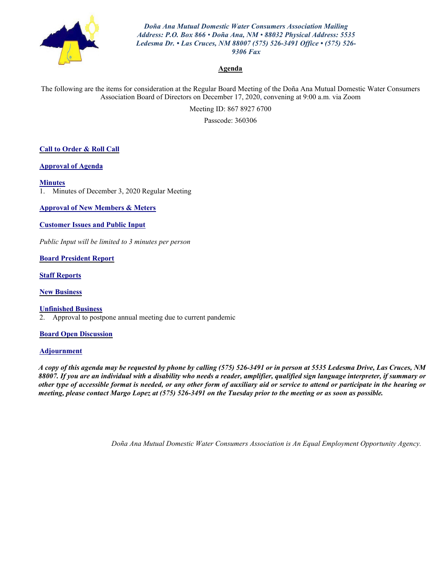

*Doña Ana Mutual Domestic Water Consumers Association Mailing Address: P.O. Box 866 • Doña Ana, NM • 88032 Physical Address: 5535 Ledesma Dr. • Las Cruces, NM 88007 (575) 526-3491 Office • (575) 526- 9306 Fax*

#### **Agenda**

The following are the items for consideration at the Regular Board Meeting of the Doña Ana Mutual Domestic Water Consumers Association Board of Directors on December 17, 2020, convening at 9:00 a.m. via Zoom

Meeting ID: 867 8927 6700

Passcode: 360306

#### **Call to Order & Roll Call**

**Approval of Agenda**

#### **Minutes**

1. Minutes of December 3, 2020 Regular Meeting

**Approval of New Members & Meters**

#### **Customer Issues and Public Input**

*Public Input will be limited to 3 minutes per person*

**Board President Report**

**Staff Reports**

**New Business**

**Unfinished Business** 2. Approval to postpone annual meeting due to current pandemic

#### **Board Open Discussion**

#### **Adjournment**

*A copy of this agenda may be requested by phone by calling (575) 526-3491 or in person at 5535 Ledesma Drive, Las Cruces, NM 88007. If you are an individual with a disability who needs a reader, amplifier, qualified sign language interpreter, if summary or other type of accessible format is needed, or any other form of auxiliary aid or service to attend or participate in the hearing or meeting, please contact Margo Lopez at (575) 526-3491 on the Tuesday prior to the meeting or as soon as possible.*

*Doña Ana Mutual Domestic Water Consumers Association is An Equal Employment Opportunity Agency.*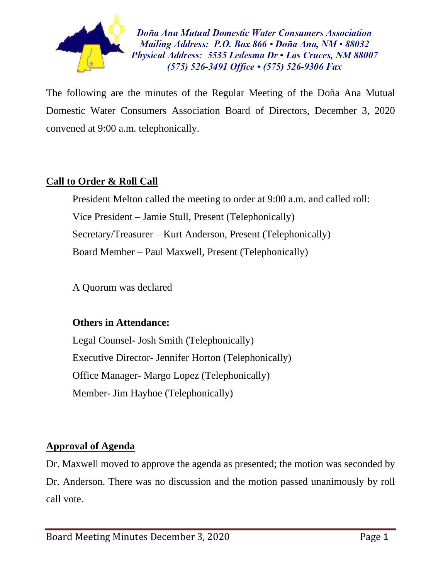

Doña Ana Mutual Domestic Water Consumers Association Mailing Address: P.O. Box 866  $\cdot$  Doña Ana, NM $\cdot$ 88032 Physical Address: 5535 Ledesma Dr • Las Cruces, NM 88007  $(575)$  526-3491 Office  $\cdot$  (575) 526-9306 Fax

The following are the minutes of the Regular Meeting of the Doña Ana Mutual Domestic Water Consumers Association Board of Directors, December 3, 2020 convened at 9:00 a.m. telephonically.

# **Call to Order & Roll Call**

President Melton called the meeting to order at 9:00 a.m. and called roll: Vice President – Jamie Stull, Present (Telephonically) Secretary/Treasurer – Kurt Anderson, Present (Telephonically) Board Member – Paul Maxwell, Present (Telephonically)

A Quorum was declared

### **Others in Attendance:**

Legal Counsel- Josh Smith (Telephonically) Executive Director- Jennifer Horton (Telephonically) Office Manager- Margo Lopez (Telephonically) Member- Jim Hayhoe (Telephonically)

# **Approval of Agenda**

Dr. Maxwell moved to approve the agenda as presented; the motion was seconded by Dr. Anderson. There was no discussion and the motion passed unanimously by roll call vote.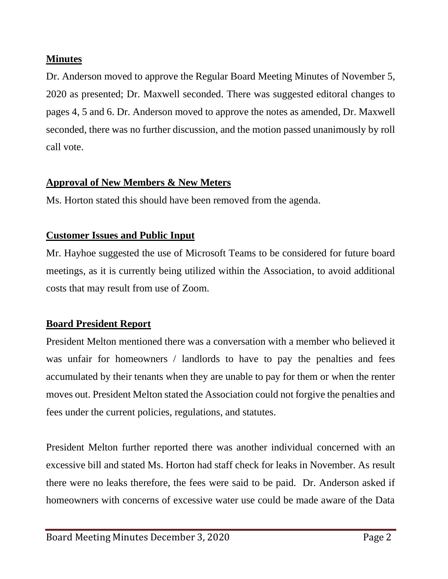## **Minutes**

Dr. Anderson moved to approve the Regular Board Meeting Minutes of November 5, 2020 as presented; Dr. Maxwell seconded. There was suggested editoral changes to pages 4, 5 and 6. Dr. Anderson moved to approve the notes as amended, Dr. Maxwell seconded, there was no further discussion, and the motion passed unanimously by roll call vote.

## **Approval of New Members & New Meters**

Ms. Horton stated this should have been removed from the agenda.

## **Customer Issues and Public Input**

Mr. Hayhoe suggested the use of Microsoft Teams to be considered for future board meetings, as it is currently being utilized within the Association, to avoid additional costs that may result from use of Zoom.

# **Board President Report**

President Melton mentioned there was a conversation with a member who believed it was unfair for homeowners / landlords to have to pay the penalties and fees accumulated by their tenants when they are unable to pay for them or when the renter moves out. President Melton stated the Association could not forgive the penalties and fees under the current policies, regulations, and statutes.

President Melton further reported there was another individual concerned with an excessive bill and stated Ms. Horton had staff check for leaks in November. As result there were no leaks therefore, the fees were said to be paid. Dr. Anderson asked if homeowners with concerns of excessive water use could be made aware of the Data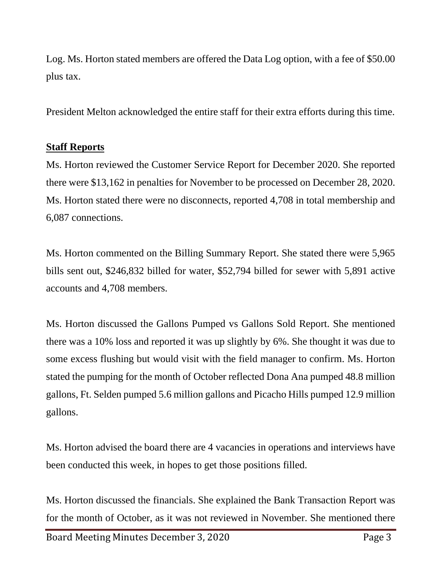Log. Ms. Horton stated members are offered the Data Log option, with a fee of \$50.00 plus tax.

President Melton acknowledged the entire staff for their extra efforts during this time.

## **Staff Reports**

Ms. Horton reviewed the Customer Service Report for December 2020. She reported there were \$13,162 in penalties for November to be processed on December 28, 2020. Ms. Horton stated there were no disconnects, reported 4,708 in total membership and 6,087 connections.

Ms. Horton commented on the Billing Summary Report. She stated there were 5,965 bills sent out, \$246,832 billed for water, \$52,794 billed for sewer with 5,891 active accounts and 4,708 members.

Ms. Horton discussed the Gallons Pumped vs Gallons Sold Report. She mentioned there was a 10% loss and reported it was up slightly by 6%. She thought it was due to some excess flushing but would visit with the field manager to confirm. Ms. Horton stated the pumping for the month of October reflected Dona Ana pumped 48.8 million gallons, Ft. Selden pumped 5.6 million gallons and Picacho Hills pumped 12.9 million gallons.

Ms. Horton advised the board there are 4 vacancies in operations and interviews have been conducted this week, in hopes to get those positions filled.

Ms. Horton discussed the financials. She explained the Bank Transaction Report was for the month of October, as it was not reviewed in November. She mentioned there

Board Meeting Minutes December 3, 2020 Page 3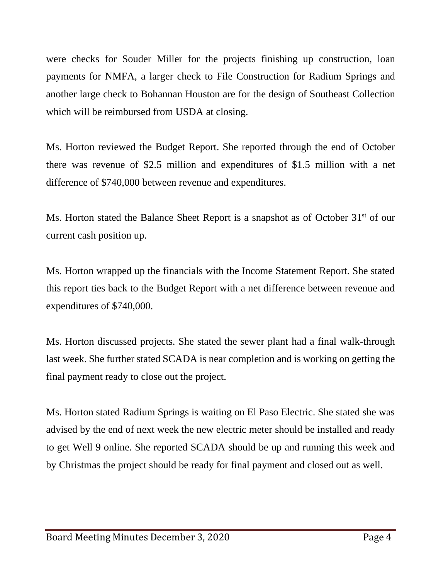were checks for Souder Miller for the projects finishing up construction, loan payments for NMFA, a larger check to File Construction for Radium Springs and another large check to Bohannan Houston are for the design of Southeast Collection which will be reimbursed from USDA at closing.

Ms. Horton reviewed the Budget Report. She reported through the end of October there was revenue of \$2.5 million and expenditures of \$1.5 million with a net difference of \$740,000 between revenue and expenditures.

Ms. Horton stated the Balance Sheet Report is a snapshot as of October 31<sup>st</sup> of our current cash position up.

Ms. Horton wrapped up the financials with the Income Statement Report. She stated this report ties back to the Budget Report with a net difference between revenue and expenditures of \$740,000.

Ms. Horton discussed projects. She stated the sewer plant had a final walk-through last week. She further stated SCADA is near completion and is working on getting the final payment ready to close out the project.

Ms. Horton stated Radium Springs is waiting on El Paso Electric. She stated she was advised by the end of next week the new electric meter should be installed and ready to get Well 9 online. She reported SCADA should be up and running this week and by Christmas the project should be ready for final payment and closed out as well.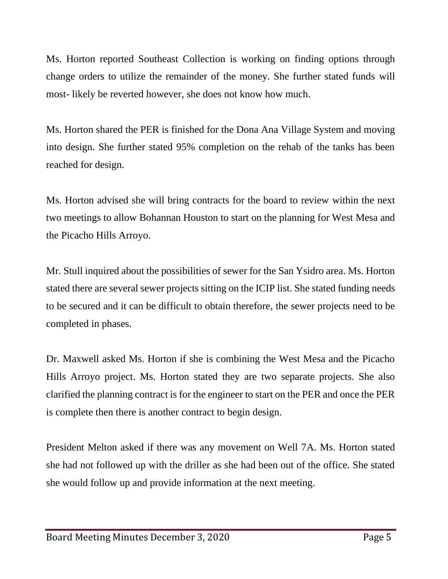Ms. Horton reported Southeast Collection is working on finding options through change orders to utilize the remainder of the money. She further stated funds will most- likely be reverted however, she does not know how much.

Ms. Horton shared the PER is finished for the Dona Ana Village System and moving into design. She further stated 95% completion on the rehab of the tanks has been reached for design.

Ms. Horton advised she will bring contracts for the board to review within the next two meetings to allow Bohannan Houston to start on the planning for West Mesa and the Picacho Hills Arroyo.

Mr. Stull inquired about the possibilities of sewer for the San Ysidro area. Ms. Horton stated there are several sewer projects sitting on the ICIP list. She stated funding needs to be secured and it can be difficult to obtain therefore, the sewer projects need to be completed in phases.

Dr. Maxwell asked Ms. Horton if she is combining the West Mesa and the Picacho Hills Arroyo project. Ms. Horton stated they are two separate projects. She also clarified the planning contract is for the engineer to start on the PER and once the PER is complete then there is another contract to begin design.

President Melton asked if there was any movement on Well 7A. Ms. Horton stated she had not followed up with the driller as she had been out of the office. She stated she would follow up and provide information at the next meeting.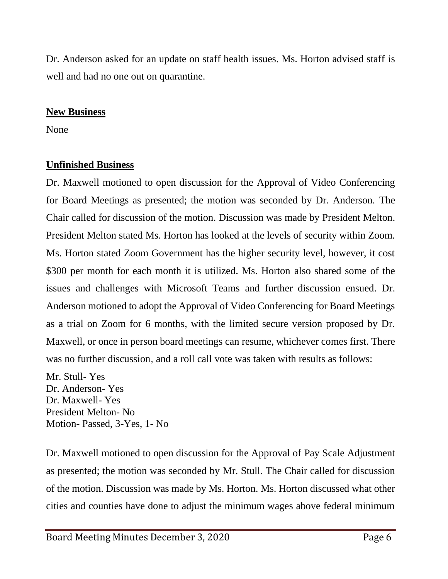Dr. Anderson asked for an update on staff health issues. Ms. Horton advised staff is well and had no one out on quarantine.

### **New Business**

None

# **Unfinished Business**

Dr. Maxwell motioned to open discussion for the Approval of Video Conferencing for Board Meetings as presented; the motion was seconded by Dr. Anderson. The Chair called for discussion of the motion. Discussion was made by President Melton. President Melton stated Ms. Horton has looked at the levels of security within Zoom. Ms. Horton stated Zoom Government has the higher security level, however, it cost \$300 per month for each month it is utilized. Ms. Horton also shared some of the issues and challenges with Microsoft Teams and further discussion ensued. Dr. Anderson motioned to adopt the Approval of Video Conferencing for Board Meetings as a trial on Zoom for 6 months, with the limited secure version proposed by Dr. Maxwell, or once in person board meetings can resume, whichever comes first. There was no further discussion, and a roll call vote was taken with results as follows:

Mr. Stull- Yes Dr. Anderson- Yes Dr. Maxwell- Yes President Melton- No Motion- Passed, 3-Yes, 1- No

Dr. Maxwell motioned to open discussion for the Approval of Pay Scale Adjustment as presented; the motion was seconded by Mr. Stull. The Chair called for discussion of the motion. Discussion was made by Ms. Horton. Ms. Horton discussed what other cities and counties have done to adjust the minimum wages above federal minimum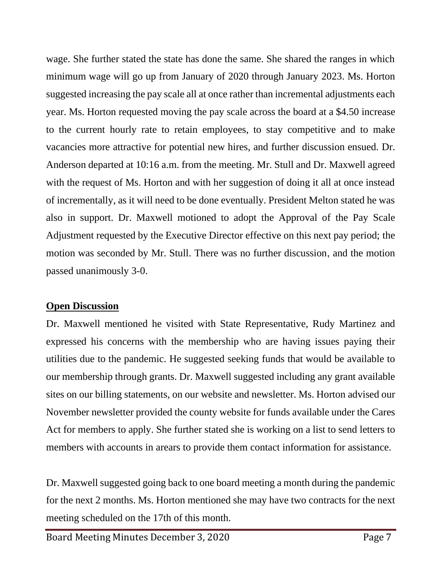wage. She further stated the state has done the same. She shared the ranges in which minimum wage will go up from January of 2020 through January 2023. Ms. Horton suggested increasing the pay scale all at once rather than incremental adjustments each year. Ms. Horton requested moving the pay scale across the board at a \$4.50 increase to the current hourly rate to retain employees, to stay competitive and to make vacancies more attractive for potential new hires, and further discussion ensued. Dr. Anderson departed at 10:16 a.m. from the meeting. Mr. Stull and Dr. Maxwell agreed with the request of Ms. Horton and with her suggestion of doing it all at once instead of incrementally, as it will need to be done eventually. President Melton stated he was also in support. Dr. Maxwell motioned to adopt the Approval of the Pay Scale Adjustment requested by the Executive Director effective on this next pay period; the motion was seconded by Mr. Stull. There was no further discussion, and the motion passed unanimously 3-0.

#### **Open Discussion**

Dr. Maxwell mentioned he visited with State Representative, Rudy Martinez and expressed his concerns with the membership who are having issues paying their utilities due to the pandemic. He suggested seeking funds that would be available to our membership through grants. Dr. Maxwell suggested including any grant available sites on our billing statements, on our website and newsletter. Ms. Horton advised our November newsletter provided the county website for funds available under the Cares Act for members to apply. She further stated she is working on a list to send letters to members with accounts in arears to provide them contact information for assistance.

Dr. Maxwell suggested going back to one board meeting a month during the pandemic for the next 2 months. Ms. Horton mentioned she may have two contracts for the next meeting scheduled on the 17th of this month.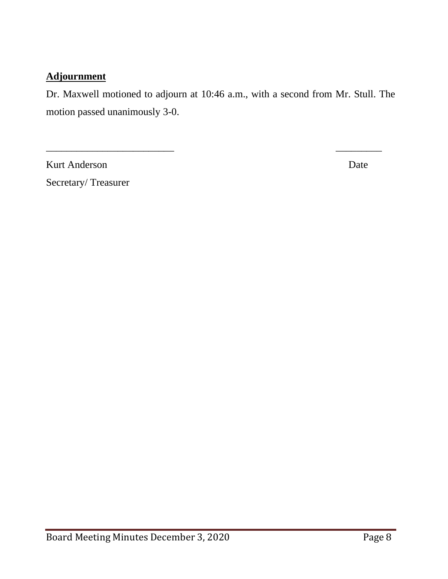### **Adjournment**

Dr. Maxwell motioned to adjourn at 10:46 a.m., with a second from Mr. Stull. The motion passed unanimously 3-0.

 $\overline{\phantom{a}}$  , and the contract of the contract of the contract of the contract of the contract of the contract of the contract of the contract of the contract of the contract of the contract of the contract of the contrac

Kurt Anderson Date

Secretary/ Treasurer